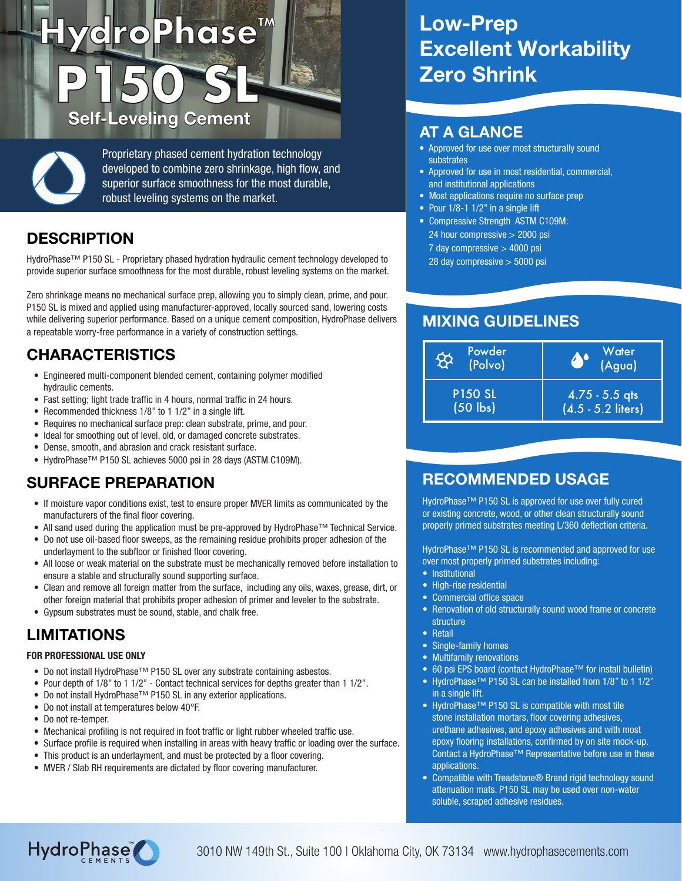# ) **HydroPhase™ P150 SL** Self-Leveling Cement AT A GLANCE

Proprietary phased cement hydration technology developed to combine zero shrinkage, high flow, and superior surface smoothness for the most durable, robust leveling systems on the market.

#### **DESCRIPTION**

HydroPhase™ P150 SL - Proprietary phased hydration hydraulic cement technology developed to provide superior surface smoothness for the most durable, robust leveling systems on the market.

Zero shrinkage means no mechanical surface prep, allowing you to simply clean, prime, and pour. P150 SL is mixed and applied using manufacturer-approved, locally sourced sand, lowering costs while delivering superior performance. Based on a unique cement composition, HydroPhase delivers a repeatable worry-free performance in a variety of construction settings.

### CHARACTERISTICS

- Engineered multi-component blended cement, containing polymer modified hydraulic cements.
- Fast setting; light trade traffic in 4 hours, normal traffic in 24 hours.
- Recommended thickness 1/8" to 1 1/2" in a single lift.
- Requires no mechanical surface prep: clean substrate, prime, and pour.
- Ideal for smoothing out of level, old, or damaged concrete substrates.
- Dense, smooth, and abrasion and crack resistant surface.
- HydroPhase™ P150 SL achieves 5000 psi in 28 days (ASTM C109M).

#### SURFACE PREPARATION

- If moisture vapor conditions exist, test to ensure proper MVER limits as communicated by the manufacturers of the final floor covering.
- All sand used during the application must be pre-approved by HydroPhase™ Technical Service.
- Do not use oil-based floor sweeps, as the remaining residue prohibits proper adhesion of the underlayment to the subfloor or finished floor covering.
- All loose or weak material on the substrate must be mechanically removed before installation to ensure a stable and structurally sound supporting surface.
- Clean and remove all foreign matter from the surface, including any oils, waxes, grease, dirt, or other foreign material that prohibits proper adhesion of primer and leveler to the substrate.
- Gypsum substrates must be sound, stable, and chalk free.

### LIMITATIONS

#### FOR PROFESSIONAL USE ONLY

- Do not install HydroPhase™ P150 SL over any substrate containing asbestos.
- Pour depth of 1/8" to 1 1/2" Contact technical services for depths greater than 1 1/2".
- Do not install HydroPhase™ P150 SL in any exterior applications.
- Do not install at temperatures below 40°F.
- Do not re-temper.
- Mechanical profiling is not required in foot traffic or light rubber wheeled traffic use.
- Surface profile is required when installing in areas with heavy traffic or loading over the surface.
- This product is an underlayment, and must be protected by a floor covering.
- MVER / Slab RH requirements are dictated by floor covering manufacturer.

# Low-Prep Excellent Workability Zero Shrink

- Approved for use over most structurally sound substrates
- Approved for use in most residential, commercial, and institutional applications
- Most applications require no surface prep
- Pour 1/8-1 1/2" in a single lift
- Compressive Strength ASTM C109M: 24 hour compressive > 2000 psi 7 day compressive > 4000 psi 28 day compressive > 5000 psi

### MIXING GUIDELINES

| Powder<br>₩<br>(Polvo) | Water<br>(Agua)      |
|------------------------|----------------------|
| <b>P150 SL</b>         | $4.75 - 5.5$ qts     |
| $(50$ lbs)             | $(4.5 - 5.2$ liters) |

### RECOMMENDED USAGE

HydroPhase™ P150 SL is approved for use over fully cured or existing concrete, wood, or other clean structurally sound properly primed substrates meeting L/360 deflection criteria.

HydroPhase™ P150 SL is recommended and approved for use over most properly primed substrates including:

- Institutional
- High-rise residential
- Commercial office space
- Renovation of old structurally sound wood frame or concrete structure
- Retail
- Single-family homes
- Multifamily renovations
- 60 psi EPS board (contact HydroPhase™ for install bulletin)
- HydroPhase™ P150 SL can be installed from 1/8" to 1 1/2" in a single lift.
- HydroPhase™ P150 SL is compatible with most tile stone installation mortars, floor covering adhesives, urethane adhesives, and epoxy adhesives and with most epoxy flooring installations, confirmed by on site mock-up. Contact a HydroPhase™ Representative before use in these applications.
- Compatible with Treadstone® Brand rigid technology sound attenuation mats. P150 SL may be used over non-water soluble, scraped adhesive residues.